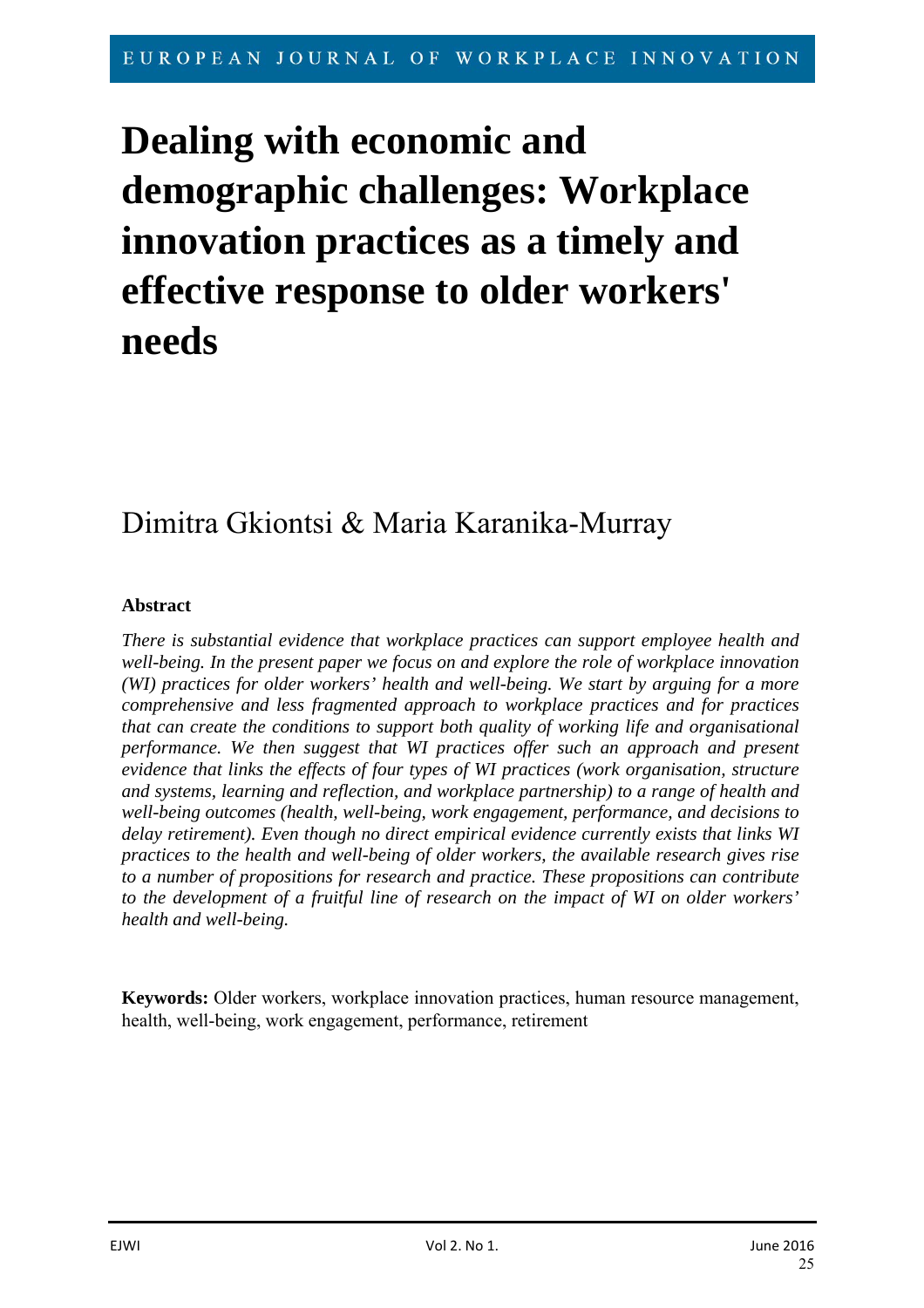# **Dealing with economic and demographic challenges: Workplace innovation practices as a timely and effective response to older workers' needs**

# Dimitra Gkiontsi & Maria Karanika-Murray

# **Abstract**

*There is substantial evidence that workplace practices can support employee health and well-being. In the present paper we focus on and explore the role of workplace innovation (WI) practices for older workers' health and well-being. We start by arguing for a more comprehensive and less fragmented approach to workplace practices and for practices that can create the conditions to support both quality of working life and organisational performance. We then suggest that WI practices offer such an approach and present evidence that links the effects of four types of WI practices (work organisation, structure and systems, learning and reflection, and workplace partnership) to a range of health and well-being outcomes (health, well-being, work engagement, performance, and decisions to delay retirement). Even though no direct empirical evidence currently exists that links WI practices to the health and well-being of older workers, the available research gives rise to a number of propositions for research and practice. These propositions can contribute to the development of a fruitful line of research on the impact of WI on older workers' health and well-being.* 

**Keywords:** Older workers, workplace innovation practices, human resource management, health, well-being, work engagement, performance, retirement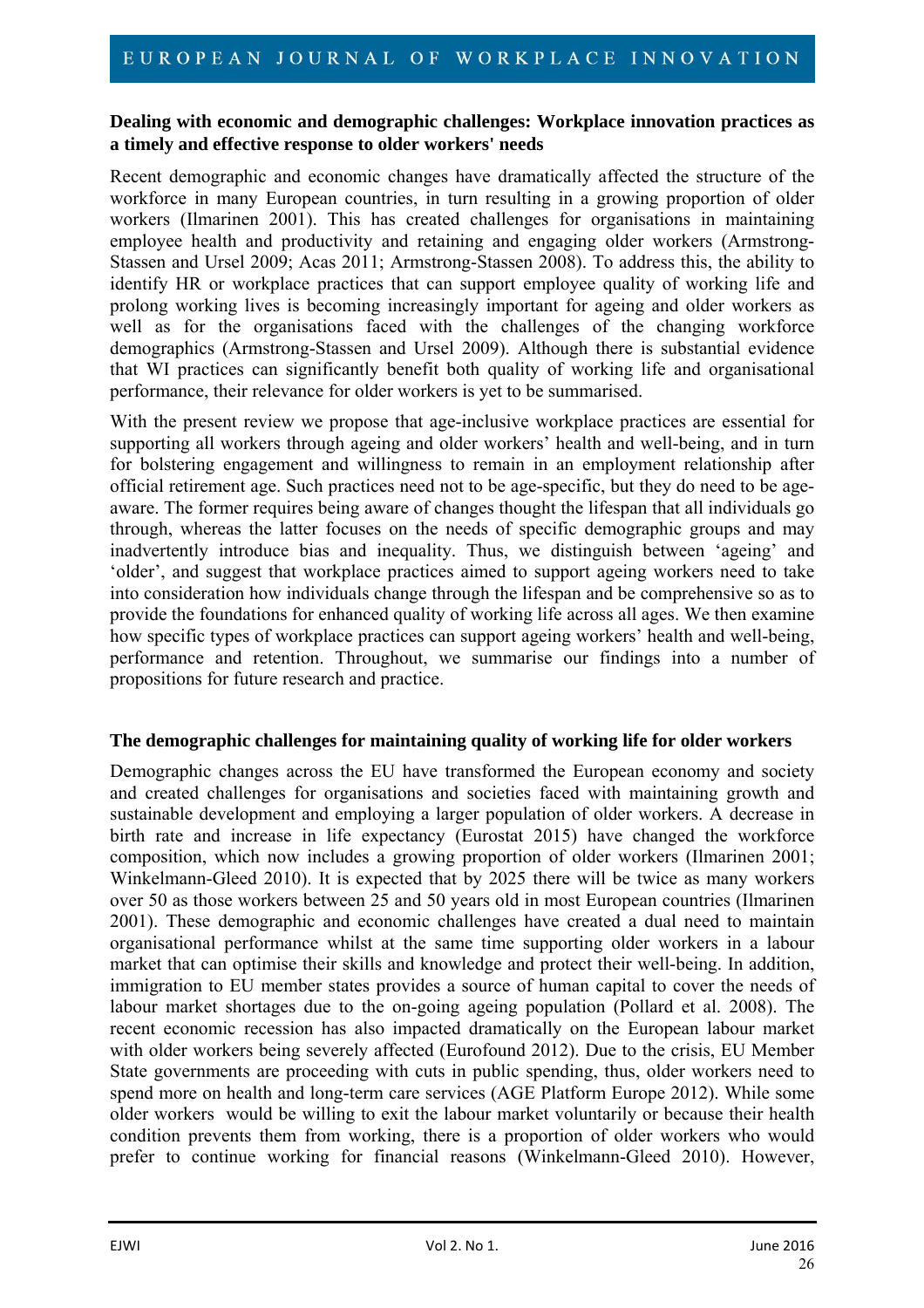# **Dealing with economic and demographic challenges: Workplace innovation practices as a timely and effective response to older workers' needs**

Recent demographic and economic changes have dramatically affected the structure of the workforce in many European countries, in turn resulting in a growing proportion of older workers (Ilmarinen 2001). This has created challenges for organisations in maintaining employee health and productivity and retaining and engaging older workers (Armstrong-Stassen and Ursel 2009; Acas 2011; Armstrong-Stassen 2008). To address this, the ability to identify HR or workplace practices that can support employee quality of working life and prolong working lives is becoming increasingly important for ageing and older workers as well as for the organisations faced with the challenges of the changing workforce demographics (Armstrong-Stassen and Ursel 2009). Although there is substantial evidence that WI practices can significantly benefit both quality of working life and organisational performance, their relevance for older workers is yet to be summarised.

With the present review we propose that age-inclusive workplace practices are essential for supporting all workers through ageing and older workers' health and well-being, and in turn for bolstering engagement and willingness to remain in an employment relationship after official retirement age. Such practices need not to be age-specific, but they do need to be ageaware. The former requires being aware of changes thought the lifespan that all individuals go through, whereas the latter focuses on the needs of specific demographic groups and may inadvertently introduce bias and inequality. Thus, we distinguish between 'ageing' and 'older', and suggest that workplace practices aimed to support ageing workers need to take into consideration how individuals change through the lifespan and be comprehensive so as to provide the foundations for enhanced quality of working life across all ages. We then examine how specific types of workplace practices can support ageing workers' health and well-being, performance and retention. Throughout, we summarise our findings into a number of propositions for future research and practice.

#### **The demographic challenges for maintaining quality of working life for older workers**

Demographic changes across the EU have transformed the European economy and society and created challenges for organisations and societies faced with maintaining growth and sustainable development and employing a larger population of older workers. A decrease in birth rate and increase in life expectancy (Eurostat 2015) have changed the workforce composition, which now includes a growing proportion of older workers (Ilmarinen 2001; Winkelmann-Gleed 2010). It is expected that by 2025 there will be twice as many workers over 50 as those workers between 25 and 50 years old in most European countries (Ilmarinen 2001). These demographic and economic challenges have created a dual need to maintain organisational performance whilst at the same time supporting older workers in a labour market that can optimise their skills and knowledge and protect their well-being. In addition, immigration to EU member states provides a source of human capital to cover the needs of labour market shortages due to the on-going ageing population (Pollard et al. 2008). The recent economic recession has also impacted dramatically on the European labour market with older workers being severely affected (Eurofound 2012). Due to the crisis, EU Member State governments are proceeding with cuts in public spending, thus, older workers need to spend more on health and long-term care services (AGE Platform Europe 2012). While some older workers would be willing to exit the labour market voluntarily or because their health condition prevents them from working, there is a proportion of older workers who would prefer to continue working for financial reasons (Winkelmann-Gleed 2010). However,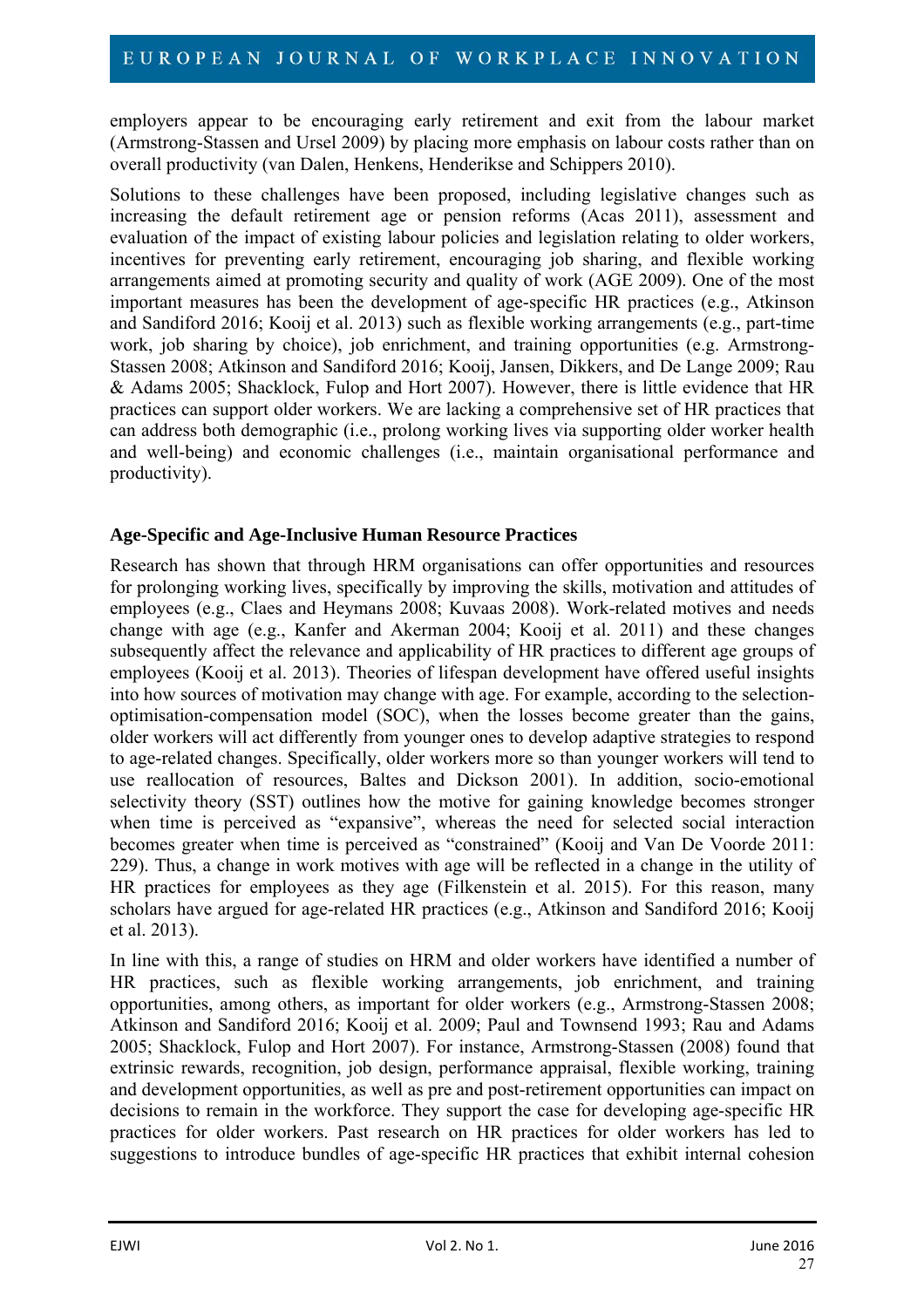employers appear to be encouraging early retirement and exit from the labour market (Armstrong-Stassen and Ursel 2009) by placing more emphasis on labour costs rather than on overall productivity (van Dalen, Henkens, Henderikse and Schippers 2010).

Solutions to these challenges have been proposed, including legislative changes such as increasing the default retirement age or pension reforms (Acas 2011), assessment and evaluation of the impact of existing labour policies and legislation relating to older workers, incentives for preventing early retirement, encouraging job sharing, and flexible working arrangements aimed at promoting security and quality of work (AGE 2009). One of the most important measures has been the development of age-specific HR practices (e.g., Atkinson and Sandiford 2016; Kooij et al. 2013) such as flexible working arrangements (e.g., part-time work, job sharing by choice), job enrichment, and training opportunities (e.g. Armstrong-Stassen 2008; Atkinson and Sandiford 2016; Kooij, Jansen, Dikkers, and De Lange 2009; Rau & Adams 2005; Shacklock, Fulop and Hort 2007). However, there is little evidence that HR practices can support older workers. We are lacking a comprehensive set of HR practices that can address both demographic (i.e., prolong working lives via supporting older worker health and well-being) and economic challenges (i.e., maintain organisational performance and productivity).

#### **Age-Specific and Age-Inclusive Human Resource Practices**

Research has shown that through HRM organisations can offer opportunities and resources for prolonging working lives, specifically by improving the skills, motivation and attitudes of employees (e.g., Claes and Heymans 2008; Kuvaas 2008). Work-related motives and needs change with age (e.g., Kanfer and Akerman 2004; Kooij et al. 2011) and these changes subsequently affect the relevance and applicability of HR practices to different age groups of employees (Kooij et al. 2013). Theories of lifespan development have offered useful insights into how sources of motivation may change with age. For example, according to the selectionoptimisation-compensation model (SOC), when the losses become greater than the gains, older workers will act differently from younger ones to develop adaptive strategies to respond to age-related changes. Specifically, older workers more so than younger workers will tend to use reallocation of resources, Baltes and Dickson 2001). In addition, socio-emotional selectivity theory (SST) outlines how the motive for gaining knowledge becomes stronger when time is perceived as "expansive", whereas the need for selected social interaction becomes greater when time is perceived as "constrained" (Kooij and Van De Voorde 2011: 229). Thus, a change in work motives with age will be reflected in a change in the utility of HR practices for employees as they age (Filkenstein et al. 2015). For this reason, many scholars have argued for age-related HR practices (e.g., Atkinson and Sandiford 2016; Kooij et al. 2013).

In line with this, a range of studies on HRM and older workers have identified a number of HR practices, such as flexible working arrangements, job enrichment, and training opportunities, among others, as important for older workers (e.g., Armstrong-Stassen 2008; Atkinson and Sandiford 2016; Kooij et al. 2009; Paul and Townsend 1993; Rau and Adams 2005; Shacklock, Fulop and Hort 2007). For instance, Armstrong-Stassen (2008) found that extrinsic rewards, recognition, job design, performance appraisal, flexible working, training and development opportunities, as well as pre and post-retirement opportunities can impact on decisions to remain in the workforce. They support the case for developing age-specific HR practices for older workers. Past research on HR practices for older workers has led to suggestions to introduce bundles of age-specific HR practices that exhibit internal cohesion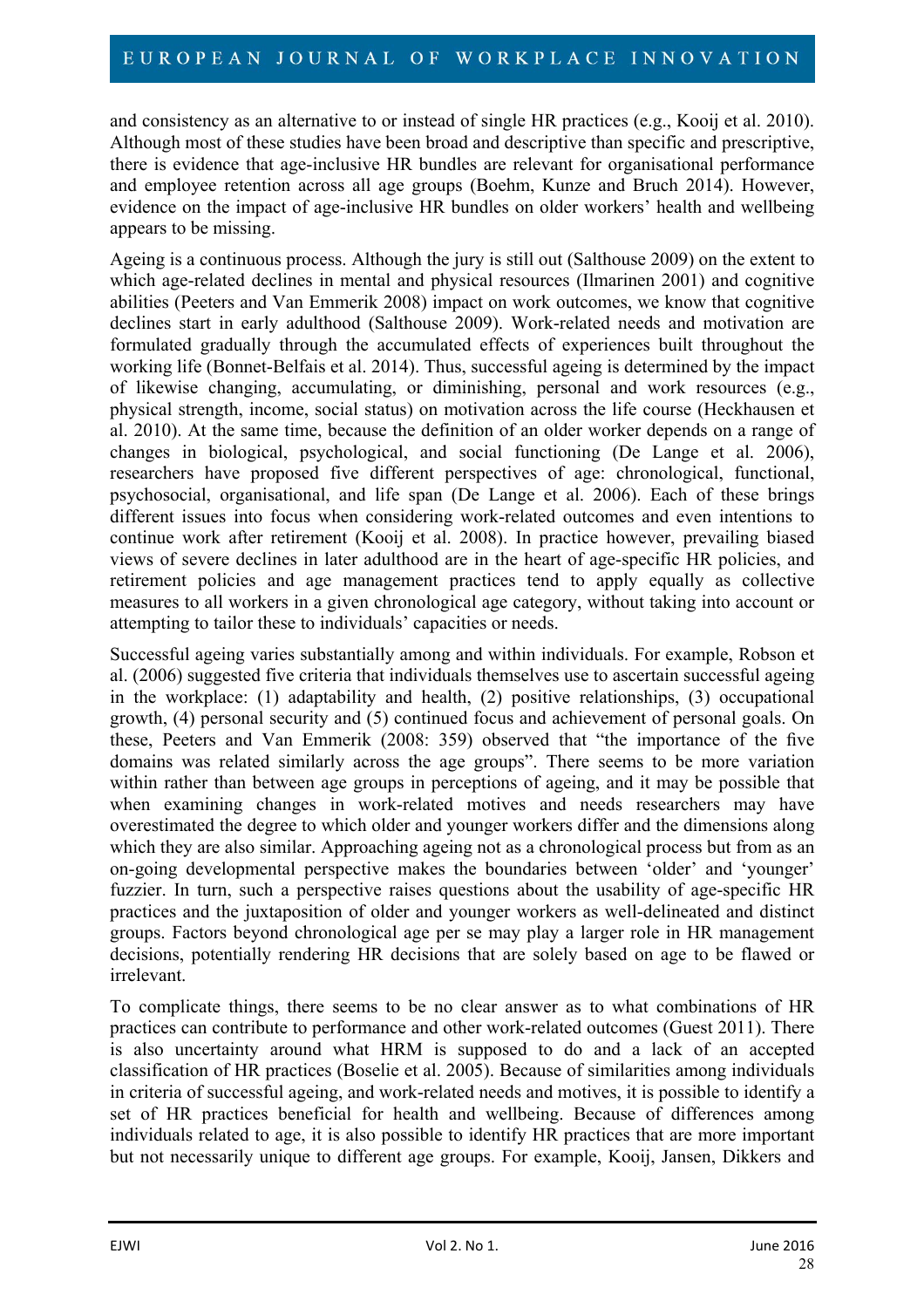and consistency as an alternative to or instead of single HR practices (e.g., Kooij et al. 2010). Although most of these studies have been broad and descriptive than specific and prescriptive, there is evidence that age-inclusive HR bundles are relevant for organisational performance and employee retention across all age groups (Boehm, Kunze and Bruch 2014). However, evidence on the impact of age-inclusive HR bundles on older workers' health and wellbeing appears to be missing.

Ageing is a continuous process. Although the jury is still out (Salthouse 2009) on the extent to which age-related declines in mental and physical resources (Ilmarinen 2001) and cognitive abilities (Peeters and Van Emmerik 2008) impact on work outcomes, we know that cognitive declines start in early adulthood (Salthouse 2009). Work-related needs and motivation are formulated gradually through the accumulated effects of experiences built throughout the working life (Bonnet-Belfais et al. 2014). Thus, successful ageing is determined by the impact of likewise changing, accumulating, or diminishing, personal and work resources (e.g., physical strength, income, social status) on motivation across the life course (Heckhausen et al. 2010). At the same time, because the definition of an older worker depends on a range of changes in biological, psychological, and social functioning (De Lange et al. 2006), researchers have proposed five different perspectives of age: chronological, functional, psychosocial, organisational, and life span (De Lange et al. 2006). Each of these brings different issues into focus when considering work-related outcomes and even intentions to continue work after retirement (Kooij et al. 2008). In practice however, prevailing biased views of severe declines in later adulthood are in the heart of age-specific HR policies, and retirement policies and age management practices tend to apply equally as collective measures to all workers in a given chronological age category, without taking into account or attempting to tailor these to individuals' capacities or needs.

Successful ageing varies substantially among and within individuals. For example, Robson et al. (2006) suggested five criteria that individuals themselves use to ascertain successful ageing in the workplace: (1) adaptability and health, (2) positive relationships, (3) occupational growth, (4) personal security and (5) continued focus and achievement of personal goals. On these, Peeters and Van Emmerik (2008: 359) observed that "the importance of the five domains was related similarly across the age groups". There seems to be more variation within rather than between age groups in perceptions of ageing, and it may be possible that when examining changes in work-related motives and needs researchers may have overestimated the degree to which older and younger workers differ and the dimensions along which they are also similar. Approaching ageing not as a chronological process but from as an on-going developmental perspective makes the boundaries between 'older' and 'younger' fuzzier. In turn, such a perspective raises questions about the usability of age-specific HR practices and the juxtaposition of older and younger workers as well-delineated and distinct groups. Factors beyond chronological age per se may play a larger role in HR management decisions, potentially rendering HR decisions that are solely based on age to be flawed or irrelevant.

To complicate things, there seems to be no clear answer as to what combinations of HR practices can contribute to performance and other work-related outcomes (Guest 2011). There is also uncertainty around what HRM is supposed to do and a lack of an accepted classification of HR practices (Boselie et al. 2005). Because of similarities among individuals in criteria of successful ageing, and work-related needs and motives, it is possible to identify a set of HR practices beneficial for health and wellbeing. Because of differences among individuals related to age, it is also possible to identify HR practices that are more important but not necessarily unique to different age groups. For example, Kooij, Jansen, Dikkers and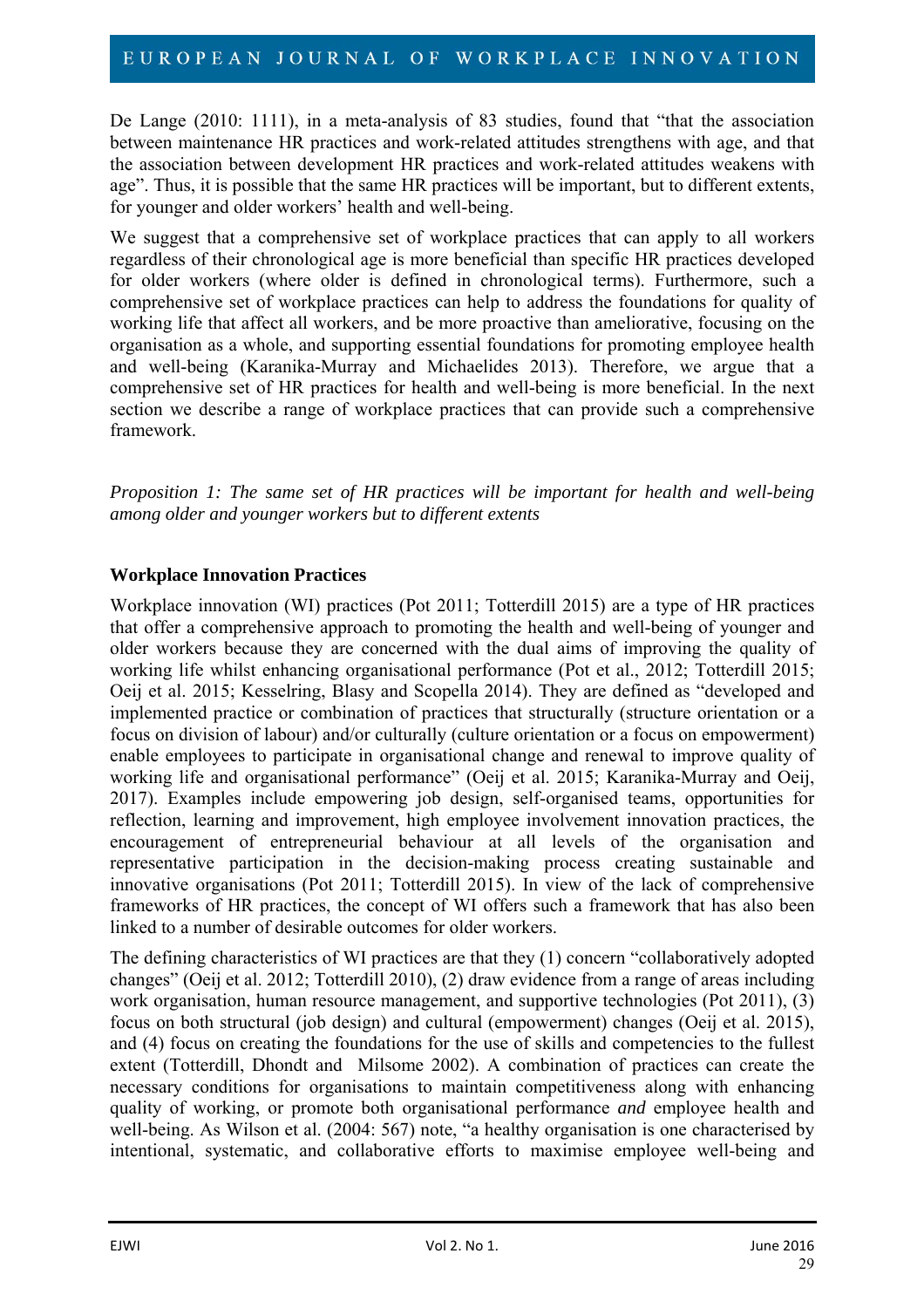De Lange (2010: 1111), in a meta-analysis of 83 studies, found that "that the association" between maintenance HR practices and work-related attitudes strengthens with age, and that the association between development HR practices and work-related attitudes weakens with age". Thus, it is possible that the same HR practices will be important, but to different extents, for younger and older workers' health and well-being.

We suggest that a comprehensive set of workplace practices that can apply to all workers regardless of their chronological age is more beneficial than specific HR practices developed for older workers (where older is defined in chronological terms). Furthermore, such a comprehensive set of workplace practices can help to address the foundations for quality of working life that affect all workers, and be more proactive than ameliorative, focusing on the organisation as a whole, and supporting essential foundations for promoting employee health and well-being (Karanika-Murray and Michaelides 2013). Therefore, we argue that a comprehensive set of HR practices for health and well-being is more beneficial. In the next section we describe a range of workplace practices that can provide such a comprehensive framework.

*Proposition 1: The same set of HR practices will be important for health and well-being among older and younger workers but to different extents* 

#### **Workplace Innovation Practices**

Workplace innovation (WI) practices (Pot 2011; Totterdill 2015) are a type of HR practices that offer a comprehensive approach to promoting the health and well-being of younger and older workers because they are concerned with the dual aims of improving the quality of working life whilst enhancing organisational performance (Pot et al., 2012; Totterdill 2015; Oeij et al. 2015; Kesselring, Blasy and Scopella 2014). They are defined as "developed and implemented practice or combination of practices that structurally (structure orientation or a focus on division of labour) and/or culturally (culture orientation or a focus on empowerment) enable employees to participate in organisational change and renewal to improve quality of working life and organisational performance" (Oeij et al. 2015; Karanika-Murray and Oeij, 2017). Examples include empowering job design, self-organised teams, opportunities for reflection, learning and improvement, high employee involvement innovation practices, the encouragement of entrepreneurial behaviour at all levels of the organisation and representative participation in the decision-making process creating sustainable and innovative organisations (Pot 2011; Totterdill 2015). In view of the lack of comprehensive frameworks of HR practices, the concept of WI offers such a framework that has also been linked to a number of desirable outcomes for older workers.

The defining characteristics of WI practices are that they (1) concern "collaboratively adopted changes" (Oeij et al. 2012; Totterdill 2010), (2) draw evidence from a range of areas including work organisation, human resource management, and supportive technologies (Pot 2011), (3) focus on both structural (job design) and cultural (empowerment) changes (Oeij et al. 2015), and (4) focus on creating the foundations for the use of skills and competencies to the fullest extent (Totterdill, Dhondt and Milsome 2002). A combination of practices can create the necessary conditions for organisations to maintain competitiveness along with enhancing quality of working, or promote both organisational performance *and* employee health and well-being. As Wilson et al. (2004: 567) note, "a healthy organisation is one characterised by intentional, systematic, and collaborative efforts to maximise employee well-being and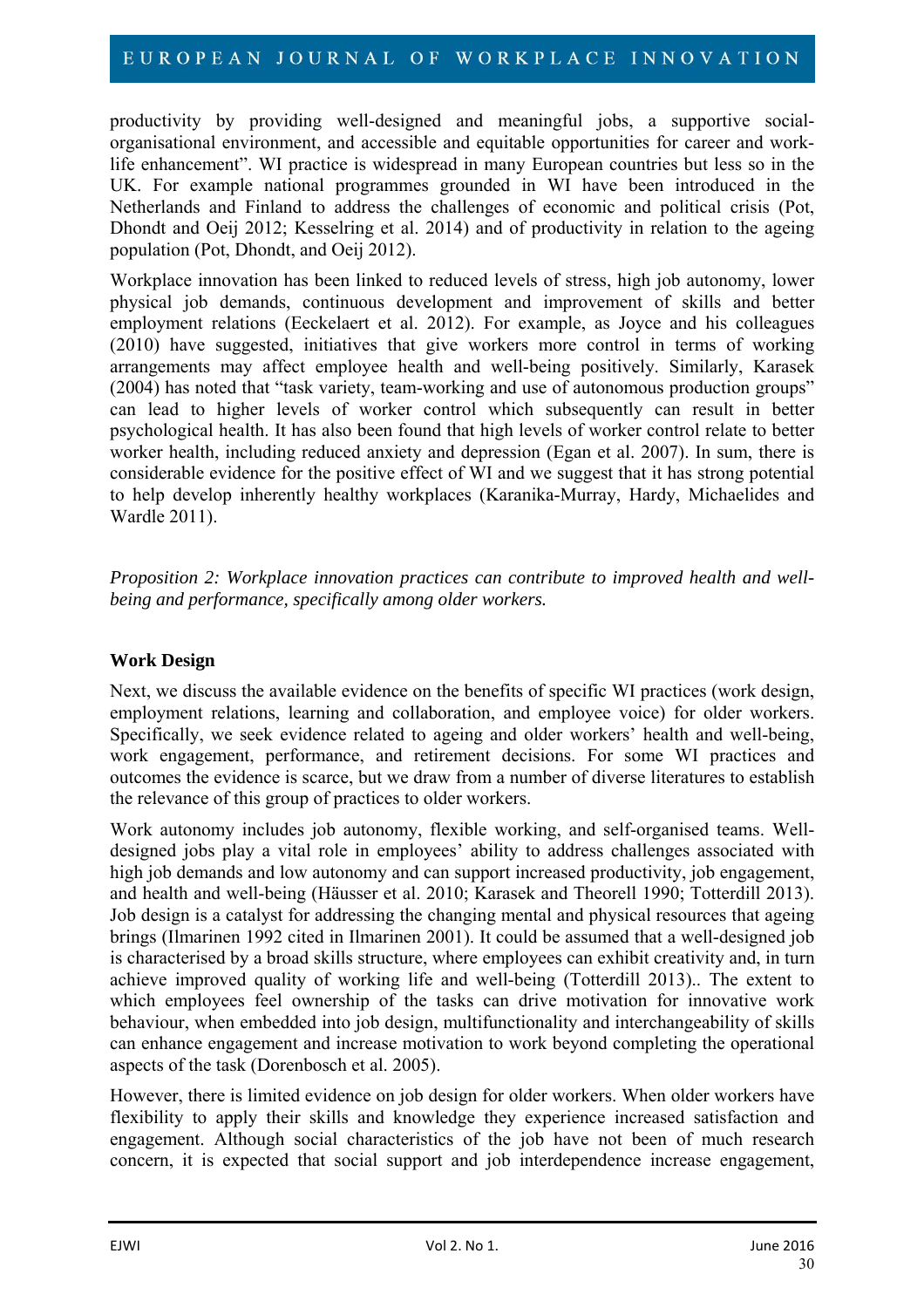productivity by providing well-designed and meaningful jobs, a supportive socialorganisational environment, and accessible and equitable opportunities for career and worklife enhancement". WI practice is widespread in many European countries but less so in the UK. For example national programmes grounded in WI have been introduced in the Netherlands and Finland to address the challenges of economic and political crisis (Pot, Dhondt and Oeij 2012; Kesselring et al. 2014) and of productivity in relation to the ageing population (Pot, Dhondt, and Oeij 2012).

Workplace innovation has been linked to reduced levels of stress, high job autonomy, lower physical job demands, continuous development and improvement of skills and better employment relations (Eeckelaert et al. 2012). For example, as Joyce and his colleagues (2010) have suggested, initiatives that give workers more control in terms of working arrangements may affect employee health and well-being positively. Similarly, Karasek (2004) has noted that "task variety, team-working and use of autonomous production groups" can lead to higher levels of worker control which subsequently can result in better psychological health. It has also been found that high levels of worker control relate to better worker health, including reduced anxiety and depression (Egan et al. 2007). In sum, there is considerable evidence for the positive effect of WI and we suggest that it has strong potential to help develop inherently healthy workplaces (Karanika-Murray, Hardy, Michaelides and Wardle 2011).

*Proposition 2: Workplace innovation practices can contribute to improved health and wellbeing and performance, specifically among older workers.* 

## **Work Design**

Next, we discuss the available evidence on the benefits of specific WI practices (work design, employment relations, learning and collaboration, and employee voice) for older workers. Specifically, we seek evidence related to ageing and older workers' health and well-being, work engagement, performance, and retirement decisions. For some WI practices and outcomes the evidence is scarce, but we draw from a number of diverse literatures to establish the relevance of this group of practices to older workers.

Work autonomy includes job autonomy, flexible working, and self-organised teams. Welldesigned jobs play a vital role in employees' ability to address challenges associated with high job demands and low autonomy and can support increased productivity, job engagement, and health and well-being (Häusser et al. 2010; Karasek and Theorell 1990; Totterdill 2013). Job design is a catalyst for addressing the changing mental and physical resources that ageing brings (Ilmarinen 1992 cited in Ilmarinen 2001). It could be assumed that a well-designed job is characterised by a broad skills structure, where employees can exhibit creativity and, in turn achieve improved quality of working life and well-being (Totterdill 2013).. The extent to which employees feel ownership of the tasks can drive motivation for innovative work behaviour, when embedded into job design, multifunctionality and interchangeability of skills can enhance engagement and increase motivation to work beyond completing the operational aspects of the task (Dorenbosch et al. 2005).

However, there is limited evidence on job design for older workers. When older workers have flexibility to apply their skills and knowledge they experience increased satisfaction and engagement. Although social characteristics of the job have not been of much research concern, it is expected that social support and job interdependence increase engagement,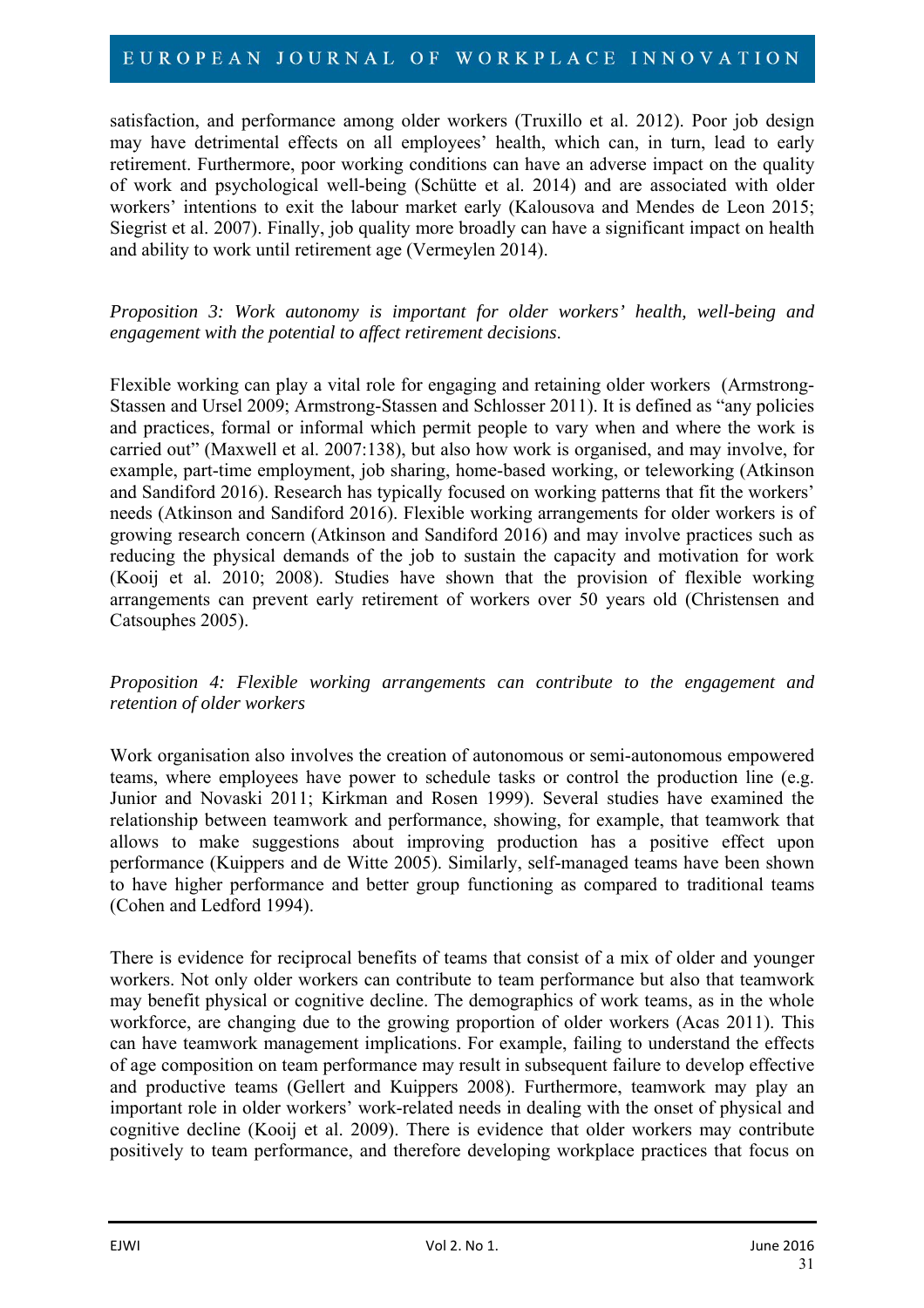satisfaction, and performance among older workers (Truxillo et al. 2012). Poor job design may have detrimental effects on all employees' health, which can, in turn, lead to early retirement. Furthermore, poor working conditions can have an adverse impact on the quality of work and psychological well-being (Schütte et al. 2014) and are associated with older workers' intentions to exit the labour market early (Kalousova and Mendes de Leon 2015; Siegrist et al. 2007). Finally, job quality more broadly can have a significant impact on health and ability to work until retirement age (Vermeylen 2014).

#### *Proposition 3: Work autonomy is important for older workers' health, well-being and engagement with the potential to affect retirement decisions*.

Flexible working can play a vital role for engaging and retaining older workers (Armstrong-Stassen and Ursel 2009; Armstrong-Stassen and Schlosser 2011). It is defined as "any policies and practices, formal or informal which permit people to vary when and where the work is carried out" (Maxwell et al. 2007:138), but also how work is organised, and may involve, for example, part-time employment, job sharing, home-based working, or teleworking (Atkinson and Sandiford 2016). Research has typically focused on working patterns that fit the workers' needs (Atkinson and Sandiford 2016). Flexible working arrangements for older workers is of growing research concern (Atkinson and Sandiford 2016) and may involve practices such as reducing the physical demands of the job to sustain the capacity and motivation for work (Kooij et al. 2010; 2008). Studies have shown that the provision of flexible working arrangements can prevent early retirement of workers over 50 years old (Christensen and Catsouphes 2005).

#### *Proposition 4: Flexible working arrangements can contribute to the engagement and retention of older workers*

Work organisation also involves the creation of autonomous or semi-autonomous empowered teams, where employees have power to schedule tasks or control the production line (e.g. Junior and Novaski 2011; Kirkman and Rosen 1999). Several studies have examined the relationship between teamwork and performance, showing, for example, that teamwork that allows to make suggestions about improving production has a positive effect upon performance (Kuippers and de Witte 2005). Similarly, self-managed teams have been shown to have higher performance and better group functioning as compared to traditional teams (Cohen and Ledford 1994).

There is evidence for reciprocal benefits of teams that consist of a mix of older and younger workers. Not only older workers can contribute to team performance but also that teamwork may benefit physical or cognitive decline. The demographics of work teams, as in the whole workforce, are changing due to the growing proportion of older workers (Acas 2011). This can have teamwork management implications. For example, failing to understand the effects of age composition on team performance may result in subsequent failure to develop effective and productive teams (Gellert and Kuippers 2008). Furthermore, teamwork may play an important role in older workers' work-related needs in dealing with the onset of physical and cognitive decline (Kooij et al. 2009). There is evidence that older workers may contribute positively to team performance, and therefore developing workplace practices that focus on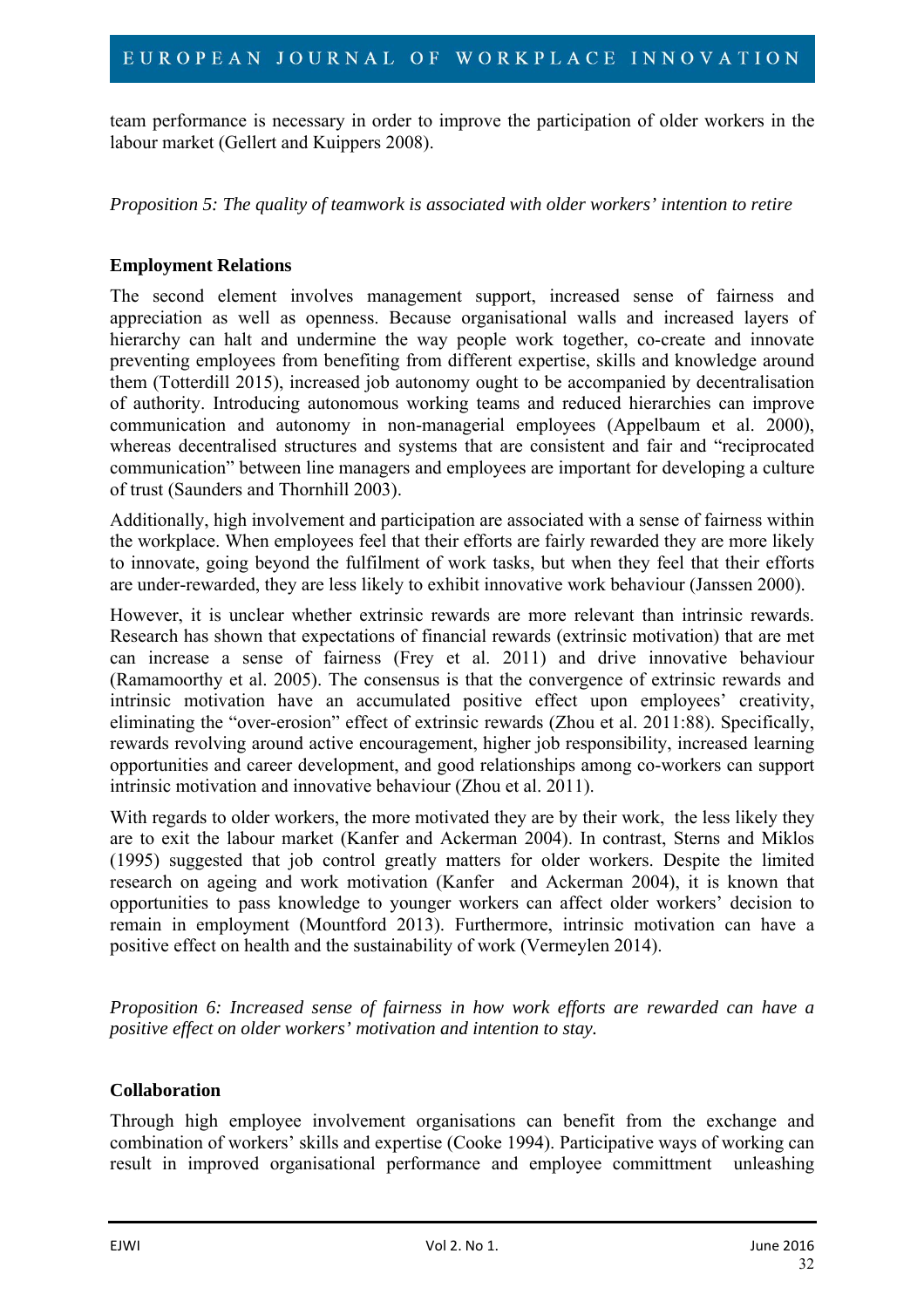team performance is necessary in order to improve the participation of older workers in the labour market (Gellert and Kuippers 2008).

*Proposition 5: The quality of teamwork is associated with older workers' intention to retire* 

#### **Employment Relations**

The second element involves management support, increased sense of fairness and appreciation as well as openness. Because organisational walls and increased layers of hierarchy can halt and undermine the way people work together, co-create and innovate preventing employees from benefiting from different expertise, skills and knowledge around them (Totterdill 2015), increased job autonomy ought to be accompanied by decentralisation of authority. Introducing autonomous working teams and reduced hierarchies can improve communication and autonomy in non-managerial employees (Appelbaum et al. 2000), whereas decentralised structures and systems that are consistent and fair and "reciprocated communication" between line managers and employees are important for developing a culture of trust (Saunders and Thornhill 2003).

Additionally, high involvement and participation are associated with a sense of fairness within the workplace. When employees feel that their efforts are fairly rewarded they are more likely to innovate, going beyond the fulfilment of work tasks, but when they feel that their efforts are under-rewarded, they are less likely to exhibit innovative work behaviour (Janssen 2000).

However, it is unclear whether extrinsic rewards are more relevant than intrinsic rewards. Research has shown that expectations of financial rewards (extrinsic motivation) that are met can increase a sense of fairness (Frey et al. 2011) and drive innovative behaviour (Ramamoorthy et al. 2005). The consensus is that the convergence of extrinsic rewards and intrinsic motivation have an accumulated positive effect upon employees' creativity, eliminating the "over-erosion" effect of extrinsic rewards (Zhou et al. 2011:88). Specifically, rewards revolving around active encouragement, higher job responsibility, increased learning opportunities and career development, and good relationships among co-workers can support intrinsic motivation and innovative behaviour (Zhou et al. 2011).

With regards to older workers, the more motivated they are by their work, the less likely they are to exit the labour market (Kanfer and Ackerman 2004). In contrast, Sterns and Miklos (1995) suggested that job control greatly matters for older workers. Despite the limited research on ageing and work motivation (Kanfer and Ackerman 2004), it is known that opportunities to pass knowledge to younger workers can affect older workers' decision to remain in employment (Mountford 2013). Furthermore, intrinsic motivation can have a positive effect on health and the sustainability of work (Vermeylen 2014).

*Proposition 6: Increased sense of fairness in how work efforts are rewarded can have a positive effect on older workers' motivation and intention to stay.* 

#### **Collaboration**

Through high employee involvement organisations can benefit from the exchange and combination of workers' skills and expertise (Cooke 1994). Participative ways of working can result in improved organisational performance and employee committment unleashing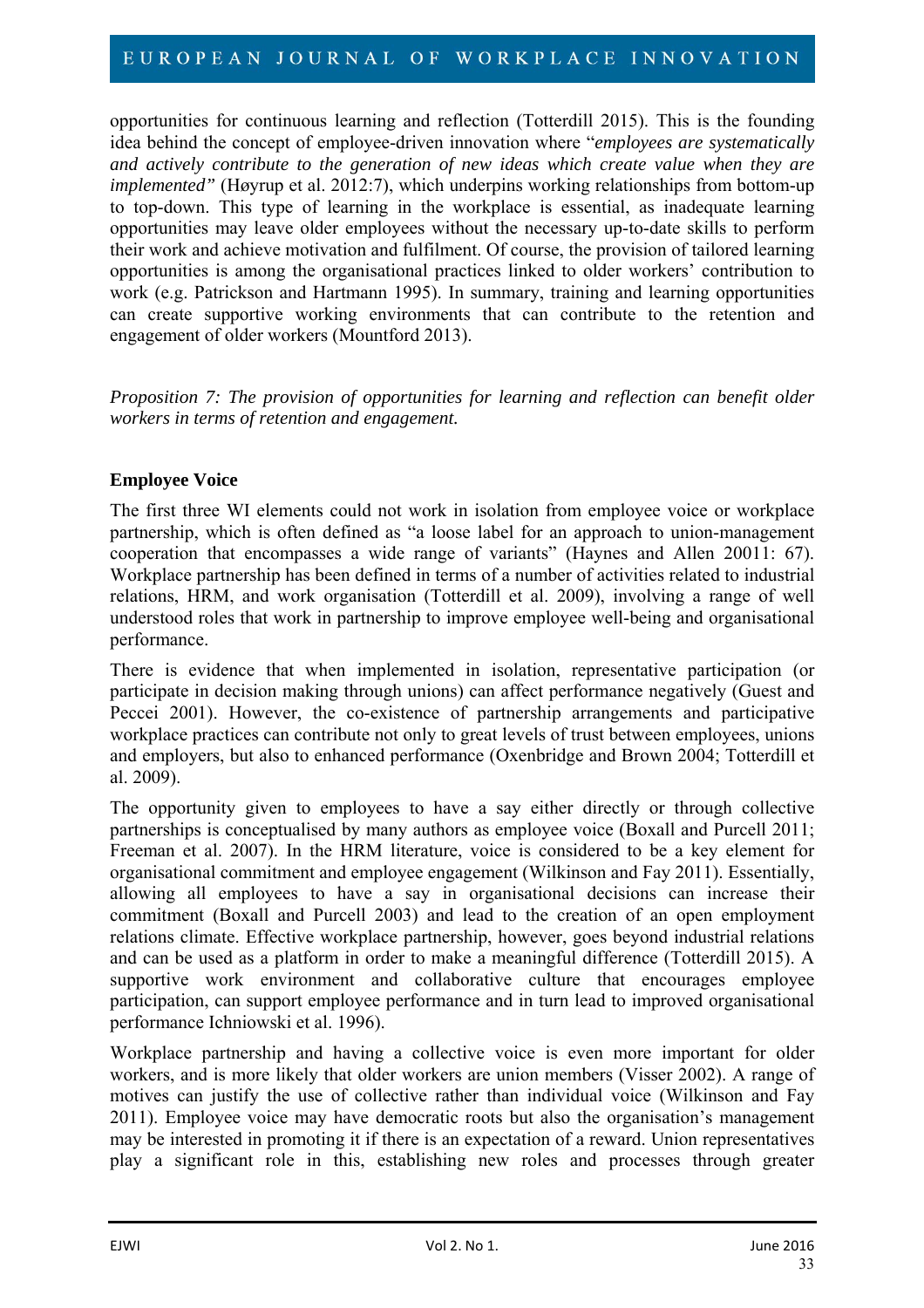opportunities for continuous learning and reflection (Totterdill 2015). This is the founding idea behind the concept of employee-driven innovation where "*employees are systematically and actively contribute to the generation of new ideas which create value when they are implemented"* (Høyrup et al. 2012:7), which underpins working relationships from bottom-up to top-down. This type of learning in the workplace is essential, as inadequate learning opportunities may leave older employees without the necessary up-to-date skills to perform their work and achieve motivation and fulfilment. Of course, the provision of tailored learning opportunities is among the organisational practices linked to older workers' contribution to work (e.g. Patrickson and Hartmann 1995). In summary, training and learning opportunities can create supportive working environments that can contribute to the retention and engagement of older workers (Mountford 2013).

*Proposition 7: The provision of opportunities for learning and reflection can benefit older workers in terms of retention and engagement.* 

#### **Employee Voice**

The first three WI elements could not work in isolation from employee voice or workplace partnership, which is often defined as "a loose label for an approach to union-management cooperation that encompasses a wide range of variants" (Haynes and Allen 20011: 67). Workplace partnership has been defined in terms of a number of activities related to industrial relations, HRM, and work organisation (Totterdill et al. 2009), involving a range of well understood roles that work in partnership to improve employee well-being and organisational performance.

There is evidence that when implemented in isolation, representative participation (or participate in decision making through unions) can affect performance negatively (Guest and Peccei 2001). However, the co-existence of partnership arrangements and participative workplace practices can contribute not only to great levels of trust between employees, unions and employers, but also to enhanced performance (Oxenbridge and Brown 2004; Totterdill et al. 2009).

The opportunity given to employees to have a say either directly or through collective partnerships is conceptualised by many authors as employee voice (Boxall and Purcell 2011; Freeman et al. 2007). In the HRM literature, voice is considered to be a key element for organisational commitment and employee engagement (Wilkinson and Fay 2011). Essentially, allowing all employees to have a say in organisational decisions can increase their commitment (Boxall and Purcell 2003) and lead to the creation of an open employment relations climate. Effective workplace partnership, however, goes beyond industrial relations and can be used as a platform in order to make a meaningful difference (Totterdill 2015). A supportive work environment and collaborative culture that encourages employee participation, can support employee performance and in turn lead to improved organisational performance Ichniowski et al. 1996).

Workplace partnership and having a collective voice is even more important for older workers, and is more likely that older workers are union members (Visser 2002). A range of motives can justify the use of collective rather than individual voice (Wilkinson and Fay 2011). Employee voice may have democratic roots but also the organisation's management may be interested in promoting it if there is an expectation of a reward. Union representatives play a significant role in this, establishing new roles and processes through greater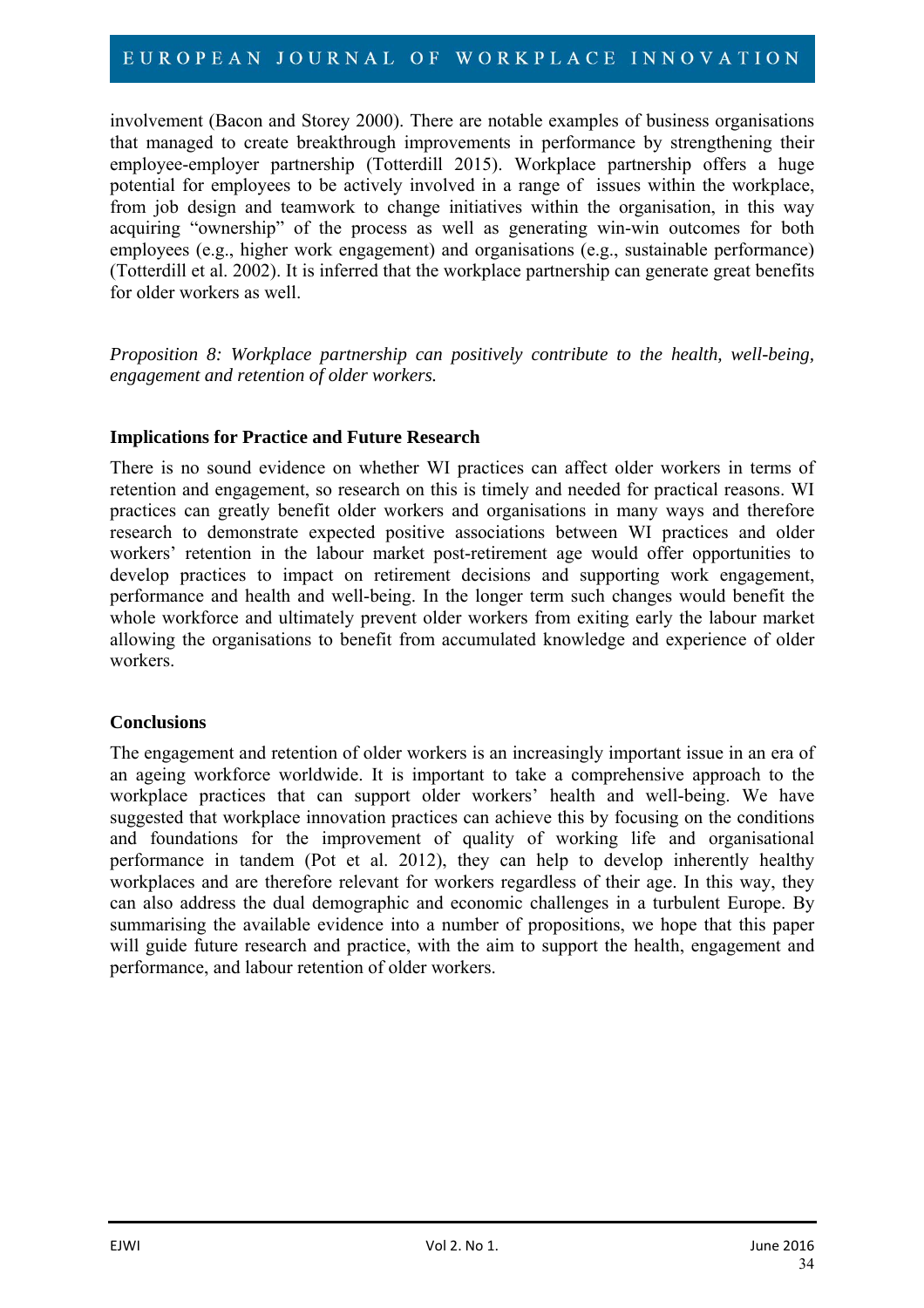involvement (Bacon and Storey 2000). There are notable examples of business organisations that managed to create breakthrough improvements in performance by strengthening their employee-employer partnership (Totterdill 2015). Workplace partnership offers a huge potential for employees to be actively involved in a range of issues within the workplace, from job design and teamwork to change initiatives within the organisation, in this way acquiring "ownership" of the process as well as generating win-win outcomes for both employees (e.g., higher work engagement) and organisations (e.g., sustainable performance) (Totterdill et al. 2002). It is inferred that the workplace partnership can generate great benefits for older workers as well.

*Proposition 8: Workplace partnership can positively contribute to the health, well-being, engagement and retention of older workers.* 

#### **Implications for Practice and Future Research**

There is no sound evidence on whether WI practices can affect older workers in terms of retention and engagement, so research on this is timely and needed for practical reasons. WI practices can greatly benefit older workers and organisations in many ways and therefore research to demonstrate expected positive associations between WI practices and older workers' retention in the labour market post-retirement age would offer opportunities to develop practices to impact on retirement decisions and supporting work engagement, performance and health and well-being. In the longer term such changes would benefit the whole workforce and ultimately prevent older workers from exiting early the labour market allowing the organisations to benefit from accumulated knowledge and experience of older workers.

#### **Conclusions**

The engagement and retention of older workers is an increasingly important issue in an era of an ageing workforce worldwide. It is important to take a comprehensive approach to the workplace practices that can support older workers' health and well-being. We have suggested that workplace innovation practices can achieve this by focusing on the conditions and foundations for the improvement of quality of working life and organisational performance in tandem (Pot et al. 2012), they can help to develop inherently healthy workplaces and are therefore relevant for workers regardless of their age. In this way, they can also address the dual demographic and economic challenges in a turbulent Europe. By summarising the available evidence into a number of propositions, we hope that this paper will guide future research and practice, with the aim to support the health, engagement and performance, and labour retention of older workers.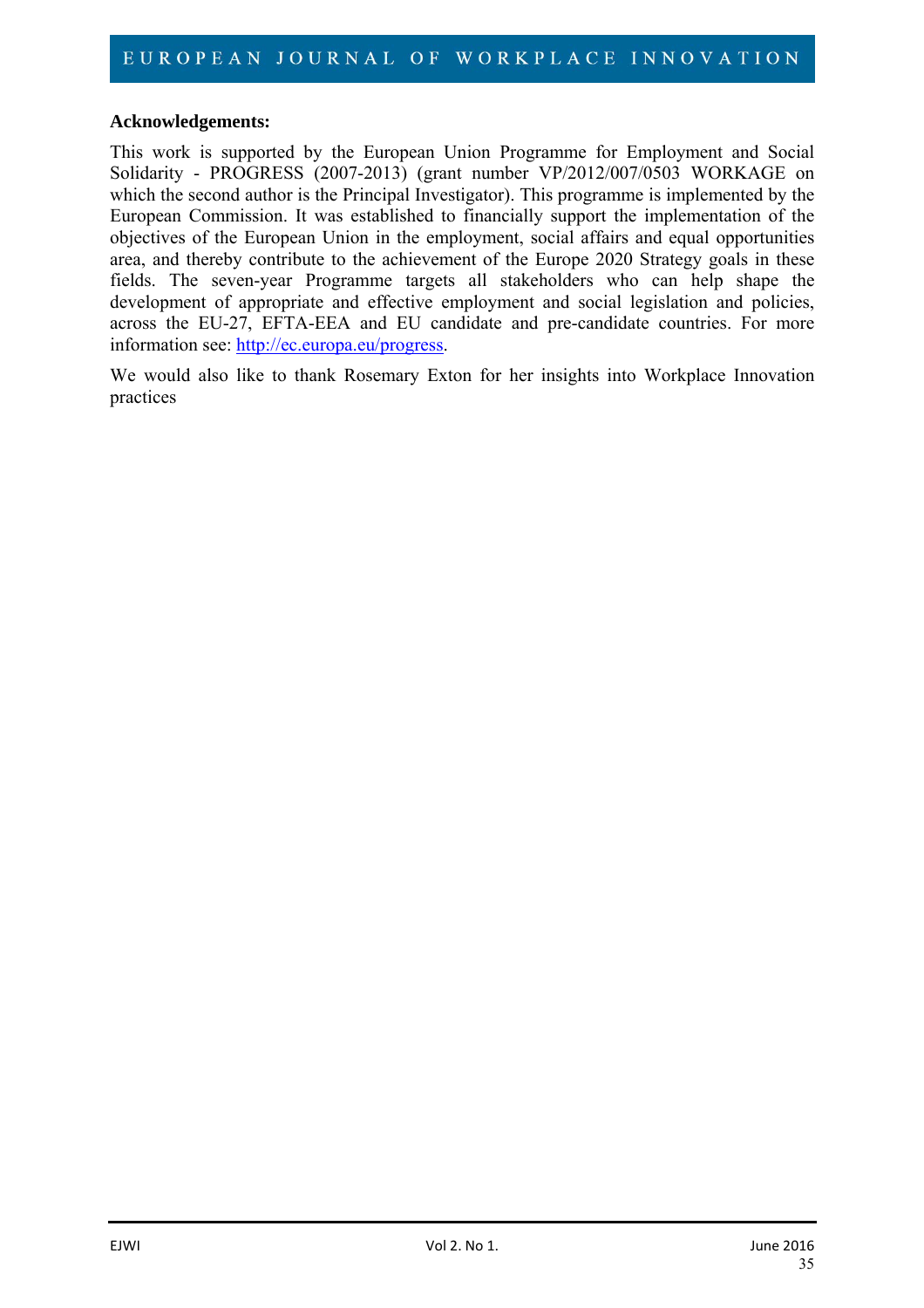#### **Acknowledgements:**

This work is supported by the European Union Programme for Employment and Social Solidarity - PROGRESS (2007-2013) (grant number VP/2012/007/0503 WORKAGE on which the second author is the Principal Investigator). This programme is implemented by the European Commission. It was established to financially support the implementation of the objectives of the European Union in the employment, social affairs and equal opportunities area, and thereby contribute to the achievement of the Europe 2020 Strategy goals in these fields. The seven-year Programme targets all stakeholders who can help shape the development of appropriate and effective employment and social legislation and policies, across the EU-27, EFTA-EEA and EU candidate and pre-candidate countries. For more information see: http://ec.europa.eu/progress.

We would also like to thank Rosemary Exton for her insights into Workplace Innovation practices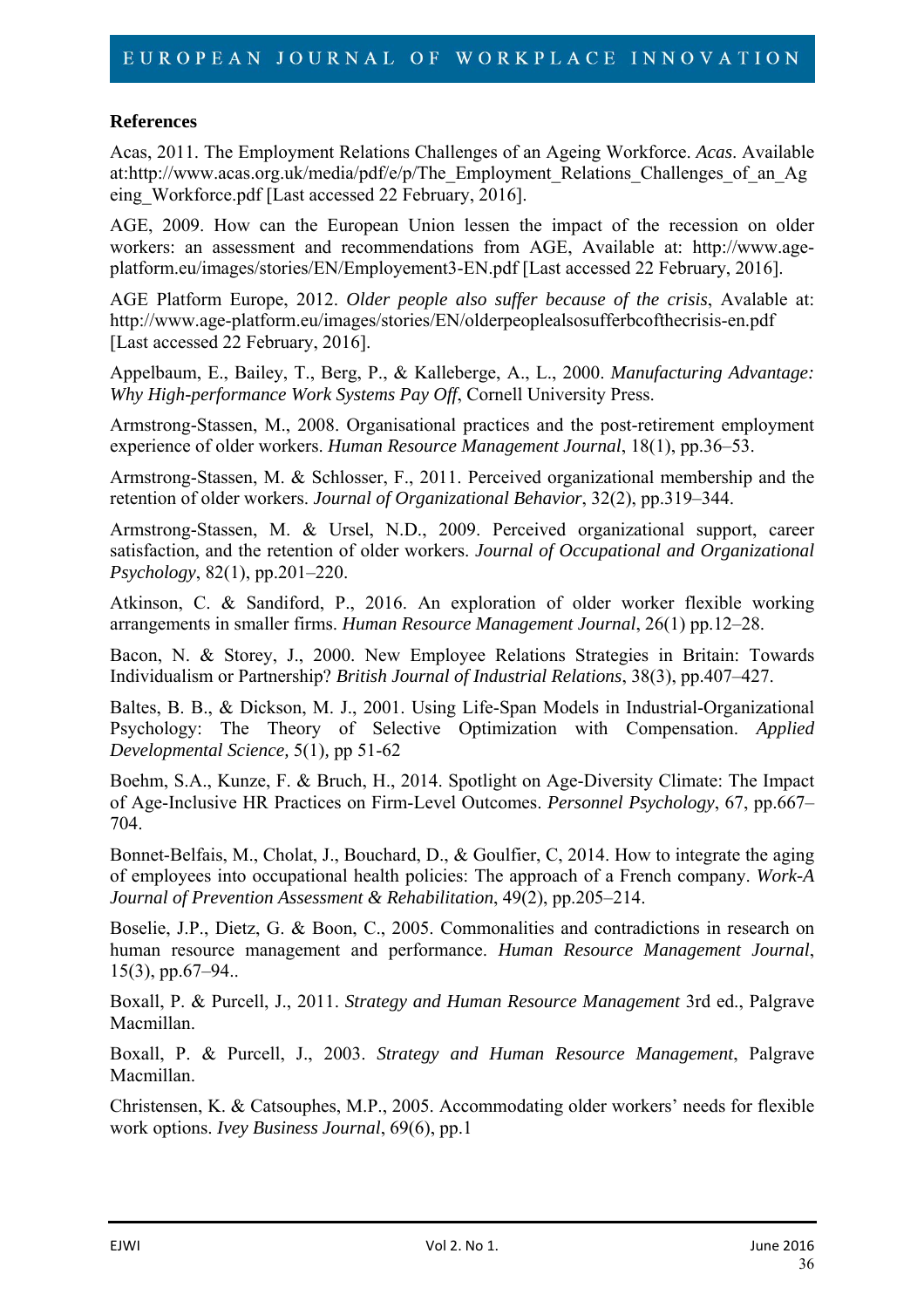#### **References**

Acas, 2011. The Employment Relations Challenges of an Ageing Workforce. *Acas*. Available at:http://www.acas.org.uk/media/pdf/e/p/The\_Employment\_Relations\_Challenges\_of\_an\_Ag eing\_Workforce.pdf [Last accessed 22 February, 2016].

AGE, 2009. How can the European Union lessen the impact of the recession on older workers: an assessment and recommendations from AGE, Available at: http://www.ageplatform.eu/images/stories/EN/Employement3-EN.pdf [Last accessed 22 February, 2016].

AGE Platform Europe, 2012. *Older people also suffer because of the crisis*, Avalable at: http://www.age-platform.eu/images/stories/EN/olderpeoplealsosufferbcofthecrisis-en.pdf [Last accessed 22 February, 2016].

Appelbaum, E., Bailey, T., Berg, P., & Kalleberge, A., L., 2000. *Manufacturing Advantage: Why High-performance Work Systems Pay Off*, Cornell University Press.

Armstrong-Stassen, M., 2008. Organisational practices and the post-retirement employment experience of older workers. *Human Resource Management Journal*, 18(1), pp.36–53.

Armstrong-Stassen, M. & Schlosser, F., 2011. Perceived organizational membership and the retention of older workers. *Journal of Organizational Behavior*, 32(2), pp.319–344.

Armstrong-Stassen, M. & Ursel, N.D., 2009. Perceived organizational support, career satisfaction, and the retention of older workers. *Journal of Occupational and Organizational Psychology*, 82(1), pp.201–220.

Atkinson, C. & Sandiford, P., 2016. An exploration of older worker flexible working arrangements in smaller firms. *Human Resource Management Journal*, 26(1) pp.12–28.

Bacon, N. & Storey, J., 2000. New Employee Relations Strategies in Britain: Towards Individualism or Partnership? *British Journal of Industrial Relations*, 38(3), pp.407–427.

Baltes, B. B., & Dickson, M. J., 2001. Using Life-Span Models in Industrial-Organizational Psychology: The Theory of Selective Optimization with Compensation. *Applied Developmental Science,* 5(1)*,* pp 51-62

Boehm, S.A., Kunze, F. & Bruch, H., 2014. Spotlight on Age-Diversity Climate: The Impact of Age-Inclusive HR Practices on Firm-Level Outcomes. *Personnel Psychology*, 67, pp.667– 704.

Bonnet-Belfais, M., Cholat, J., Bouchard, D., & Goulfier, C, 2014. How to integrate the aging of employees into occupational health policies: The approach of a French company. *Work-A Journal of Prevention Assessment & Rehabilitation*, 49(2), pp.205–214.

Boselie, J.P., Dietz, G. & Boon, C., 2005. Commonalities and contradictions in research on human resource management and performance. *Human Resource Management Journal*, 15(3), pp.67–94..

Boxall, P. & Purcell, J., 2011. *Strategy and Human Resource Management* 3rd ed., Palgrave Macmillan.

Boxall, P. & Purcell, J., 2003. *Strategy and Human Resource Management*, Palgrave Macmillan.

Christensen, K. & Catsouphes, M.P., 2005. Accommodating older workers' needs for flexible work options. *Ivey Business Journal*, 69(6), pp.1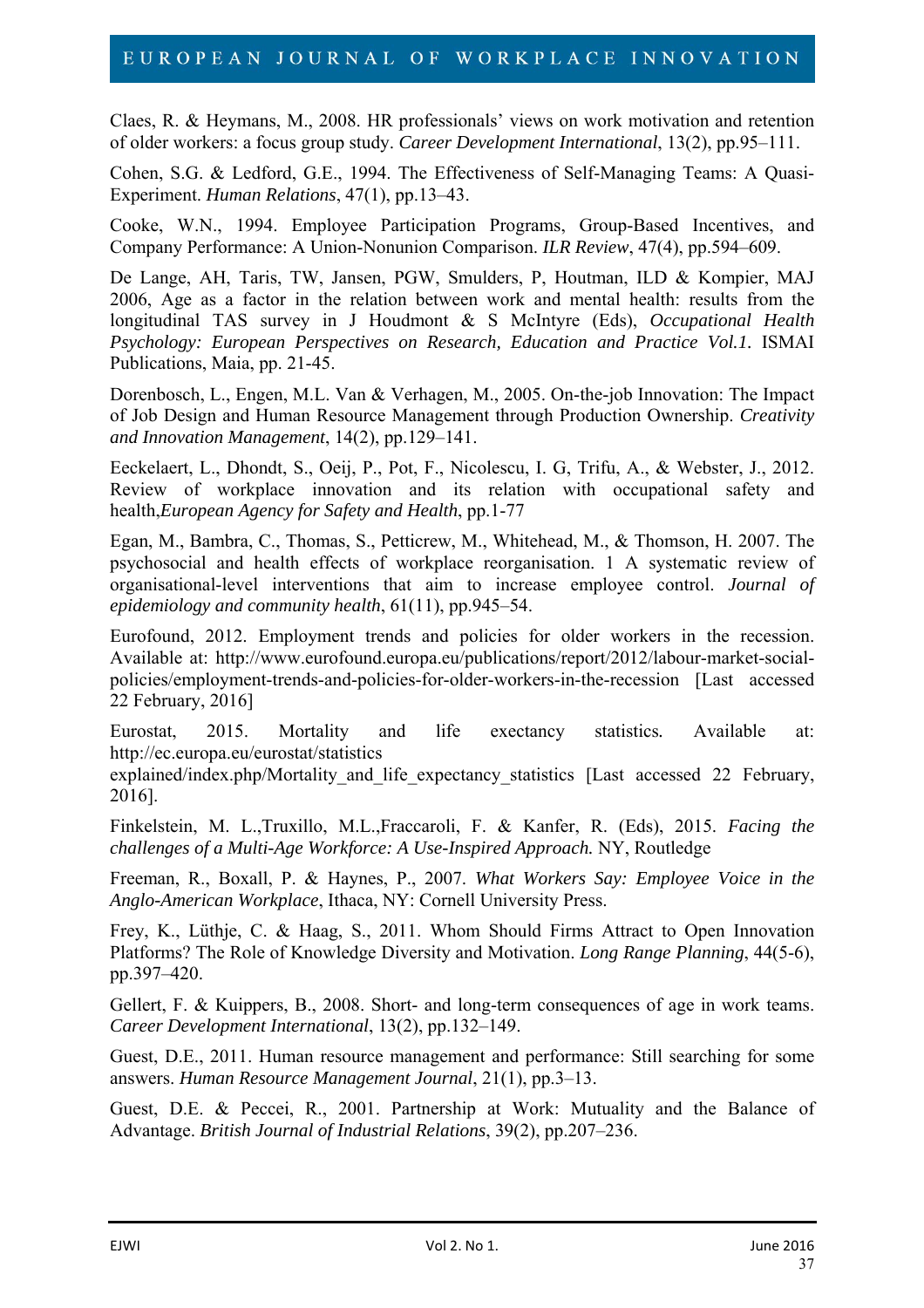Claes, R. & Heymans, M., 2008. HR professionals' views on work motivation and retention of older workers: a focus group study. *Career Development International*, 13(2), pp.95–111.

Cohen, S.G. & Ledford, G.E., 1994. The Effectiveness of Self-Managing Teams: A Quasi-Experiment. *Human Relations*, 47(1), pp.13–43.

Cooke, W.N., 1994. Employee Participation Programs, Group-Based Incentives, and Company Performance: A Union-Nonunion Comparison. *ILR Review*, 47(4), pp.594–609.

De Lange, AH, Taris, TW, Jansen, PGW, Smulders, P, Houtman, ILD & Kompier, MAJ 2006, Age as a factor in the relation between work and mental health: results from the longitudinal TAS survey in J Houdmont & S McIntyre (Eds), *Occupational Health Psychology: European Perspectives on Research, Education and Practice Vol.1.* ISMAI Publications, Maia, pp. 21-45.

Dorenbosch, L., Engen, M.L. Van & Verhagen, M., 2005. On-the-job Innovation: The Impact of Job Design and Human Resource Management through Production Ownership. *Creativity and Innovation Management*, 14(2), pp.129–141.

Eeckelaert, L., Dhondt, S., Oeij, P., Pot, F., Nicolescu, I. G, Trifu, A., & Webster, J., 2012. Review of workplace innovation and its relation with occupational safety and health,*European Agency for Safety and Health*, pp.1-77

Egan, M., Bambra, C., Thomas, S., Petticrew, M., Whitehead, M., & Thomson, H. 2007. The psychosocial and health effects of workplace reorganisation. 1 A systematic review of organisational-level interventions that aim to increase employee control. *Journal of epidemiology and community health*, 61(11), pp.945–54.

Eurofound, 2012. Employment trends and policies for older workers in the recession. Available at: http://www.eurofound.europa.eu/publications/report/2012/labour-market-socialpolicies/employment-trends-and-policies-for-older-workers-in-the-recession [Last accessed 22 February, 2016]

Eurostat, 2015. Mortality and life exectancy statistics*.* Available at: http://ec.europa.eu/eurostat/statistics

explained/index.php/Mortality and life expectancy statistics [Last accessed 22 February, 2016].

Finkelstein, M. L.,Truxillo, M.L.,Fraccaroli, F. & Kanfer, R. (Eds), 2015. *Facing the challenges of a Multi-Age Workforce: A Use-Inspired Approach.* NY, Routledge

Freeman, R., Boxall, P. & Haynes, P., 2007. *What Workers Say: Employee Voice in the Anglo-American Workplace*, Ithaca, NY: Cornell University Press.

Frey, K., Lüthje, C. & Haag, S., 2011. Whom Should Firms Attract to Open Innovation Platforms? The Role of Knowledge Diversity and Motivation. *Long Range Planning*, 44(5-6), pp.397–420.

Gellert, F. & Kuippers, B., 2008. Short- and long-term consequences of age in work teams. *Career Development International*, 13(2), pp.132–149.

Guest, D.E., 2011. Human resource management and performance: Still searching for some answers. *Human Resource Management Journal*, 21(1), pp.3–13.

Guest, D.E. & Peccei, R., 2001. Partnership at Work: Mutuality and the Balance of Advantage. *British Journal of Industrial Relations*, 39(2), pp.207–236.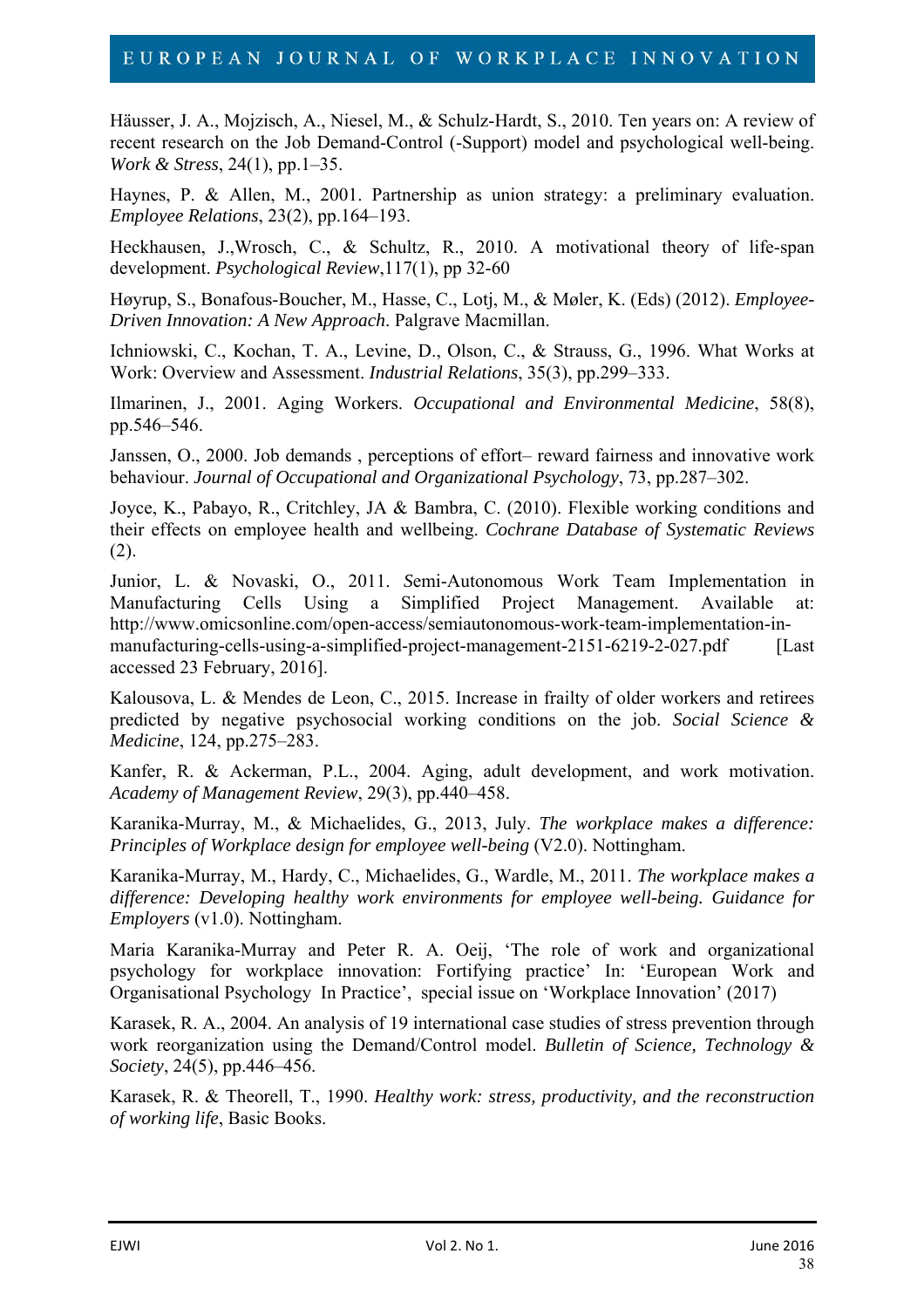Häusser, J. A., Mojzisch, A., Niesel, M., & Schulz-Hardt, S., 2010. Ten years on: A review of recent research on the Job Demand-Control (-Support) model and psychological well-being. *Work & Stress*, 24(1), pp.1–35.

Haynes, P. & Allen, M., 2001. Partnership as union strategy: a preliminary evaluation. *Employee Relations*, 23(2), pp.164–193.

Heckhausen, J.,Wrosch, C., & Schultz, R., 2010. A motivational theory of life-span development. *Psychological Review*,117(1), pp 32-60

Høyrup, S., Bonafous-Boucher, M., Hasse, C., Lotj, M., & Møler, K. (Eds) (2012). *Employee-Driven Innovation: A New Approach*. Palgrave Macmillan.

Ichniowski, C., Kochan, T. A., Levine, D., Olson, C., & Strauss, G., 1996. What Works at Work: Overview and Assessment. *Industrial Relations*, 35(3), pp.299–333.

Ilmarinen, J., 2001. Aging Workers. *Occupational and Environmental Medicine*, 58(8), pp.546–546.

Janssen, O., 2000. Job demands , perceptions of effort– reward fairness and innovative work behaviour. *Journal of Occupational and Organizational Psychology*, 73, pp.287–302.

Joyce, K., Pabayo, R., Critchley, JA & Bambra, C. (2010). Flexible working conditions and their effects on employee health and wellbeing. *Cochrane Database of Systematic Reviews*   $(2).$ 

Junior, L. & Novaski, O., 2011. *S*emi-Autonomous Work Team Implementation in Manufacturing Cells Using a Simplified Project Management. Available at: http://www.omicsonline.com/open-access/semiautonomous-work-team-implementation-inmanufacturing-cells-using-a-simplified-project-management-2151-6219-2-027.pdf [Last] accessed 23 February, 2016].

Kalousova, L. & Mendes de Leon, C., 2015. Increase in frailty of older workers and retirees predicted by negative psychosocial working conditions on the job. *Social Science & Medicine*, 124, pp.275–283.

Kanfer, R. & Ackerman, P.L., 2004. Aging, adult development, and work motivation. *Academy of Management Review*, 29(3), pp.440–458.

Karanika-Murray, M., & Michaelides, G., 2013, July. *The workplace makes a difference: Principles of Workplace design for employee well-being* (V2.0). Nottingham.

Karanika-Murray, M., Hardy, C., Michaelides, G., Wardle, M., 2011. *The workplace makes a difference: Developing healthy work environments for employee well-being. Guidance for Employers* (v1.0). Nottingham.

Maria Karanika-Murray and Peter R. A. Oeij, 'The role of work and organizational psychology for workplace innovation: Fortifying practice' In: 'European Work and Organisational Psychology In Practice', special issue on 'Workplace Innovation' (2017)

Karasek, R. A., 2004. An analysis of 19 international case studies of stress prevention through work reorganization using the Demand/Control model. *Bulletin of Science, Technology & Society*, 24(5), pp.446–456.

Karasek, R. & Theorell, T., 1990. *Healthy work: stress, productivity, and the reconstruction of working life*, Basic Books.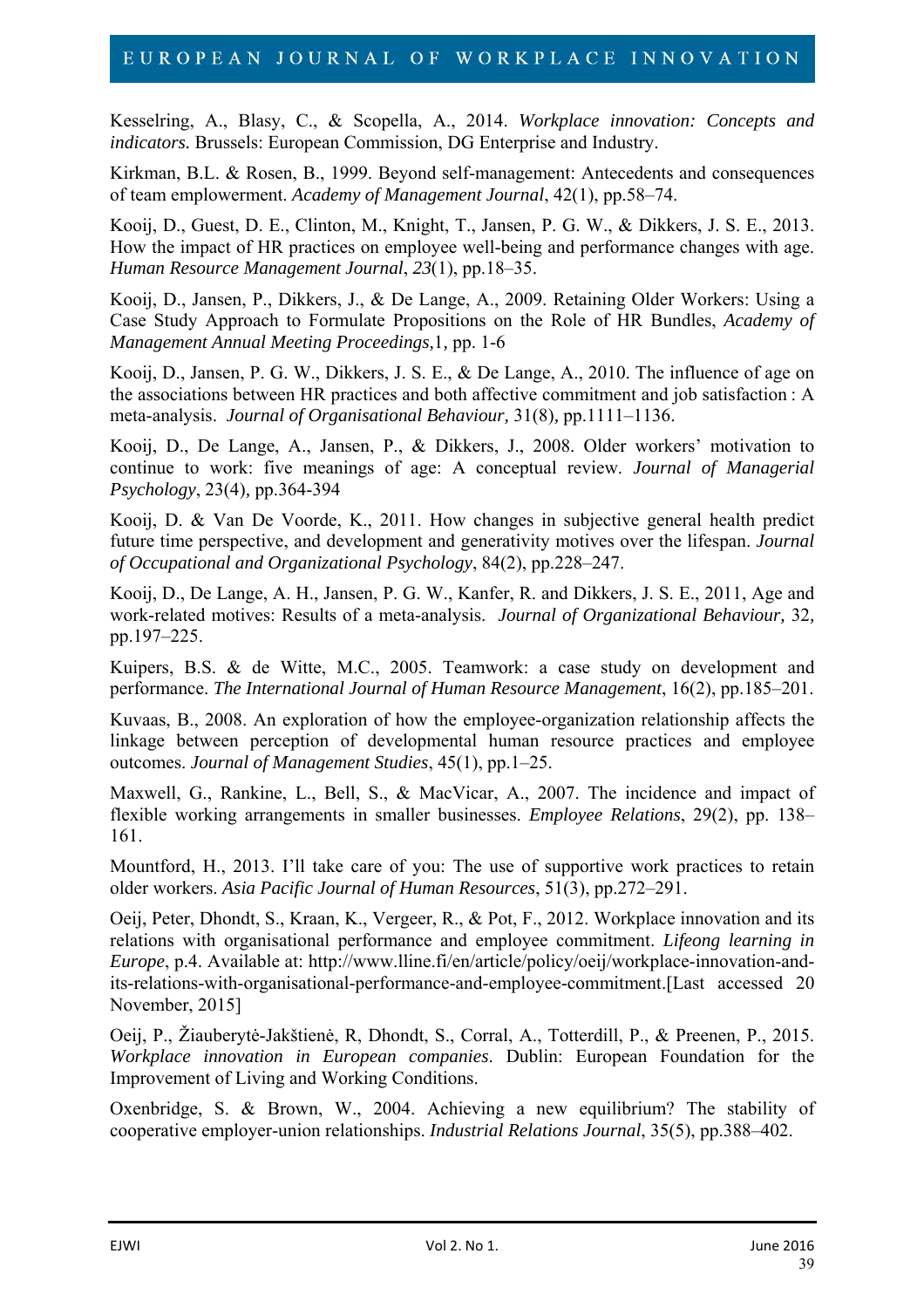Kesselring, A., Blasy, C., & Scopella, A., 2014. *Workplace innovation: Concepts and indicators.* Brussels: European Commission, DG Enterprise and Industry.

Kirkman, B.L. & Rosen, B., 1999. Beyond self-management: Antecedents and consequences of team emplowerment. *Academy of Management Journal*, 42(1), pp.58–74.

Kooij, D., Guest, D. E., Clinton, M., Knight, T., Jansen, P. G. W., & Dikkers, J. S. E., 2013. How the impact of HR practices on employee well-being and performance changes with age. *Human Resource Management Journal*, *23*(1), pp.18–35.

Kooij, D., Jansen, P., Dikkers, J., & De Lange, A., 2009. Retaining Older Workers: Using a Case Study Approach to Formulate Propositions on the Role of HR Bundles, *Academy of Management Annual Meeting Proceedings,*1*,* pp. 1-6

Kooij, D., Jansen, P. G. W., Dikkers, J. S. E., & De Lange, A., 2010. The influence of age on the associations between HR practices and both affective commitment and job satisfaction : A meta-analysis. *Journal of Organisational Behaviour,* 31(8)*,* pp.1111–1136.

Kooij, D., De Lange, A., Jansen, P., & Dikkers, J., 2008. Older workers' motivation to continue to work: five meanings of age: A conceptual review. *Journal of Managerial Psychology*, 23(4)*,* pp.364-394

Kooij, D. & Van De Voorde, K., 2011. How changes in subjective general health predict future time perspective, and development and generativity motives over the lifespan. *Journal of Occupational and Organizational Psychology*, 84(2), pp.228–247.

Kooij, D., De Lange, A. H., Jansen, P. G. W., Kanfer, R. and Dikkers, J. S. E., 2011, Age and work-related motives: Results of a meta-analysis. *Journal of Organizational Behaviour,* 32*,* pp.197–225.

Kuipers, B.S. & de Witte, M.C., 2005. Teamwork: a case study on development and performance. *The International Journal of Human Resource Management*, 16(2), pp.185–201.

Kuvaas, B., 2008. An exploration of how the employee-organization relationship affects the linkage between perception of developmental human resource practices and employee outcomes. *Journal of Management Studies*, 45(1), pp.1–25.

Maxwell, G., Rankine, L., Bell, S., & MacVicar, A., 2007. The incidence and impact of flexible working arrangements in smaller businesses. *Employee Relations*, 29(2), pp. 138– 161.

Mountford, H., 2013. I'll take care of you: The use of supportive work practices to retain older workers. *Asia Pacific Journal of Human Resources*, 51(3), pp.272–291.

Oeij, Peter, Dhondt, S., Kraan, K., Vergeer, R., & Pot, F., 2012. Workplace innovation and its relations with organisational performance and employee commitment. *Lifeong learning in Europe*, p.4. Available at: http://www.lline.fi/en/article/policy/oeij/workplace-innovation-andits-relations-with-organisational-performance-and-employee-commitment.[Last accessed 20 November, 2015]

Oeij, P., Žiauberytė-Jakštienė, R, Dhondt, S., Corral, A., Totterdill, P., & Preenen, P., 2015. *Workplace innovation in European companies*. Dublin: European Foundation for the Improvement of Living and Working Conditions.

Oxenbridge, S. & Brown, W., 2004. Achieving a new equilibrium? The stability of cooperative employer-union relationships. *Industrial Relations Journal*, 35(5), pp.388–402.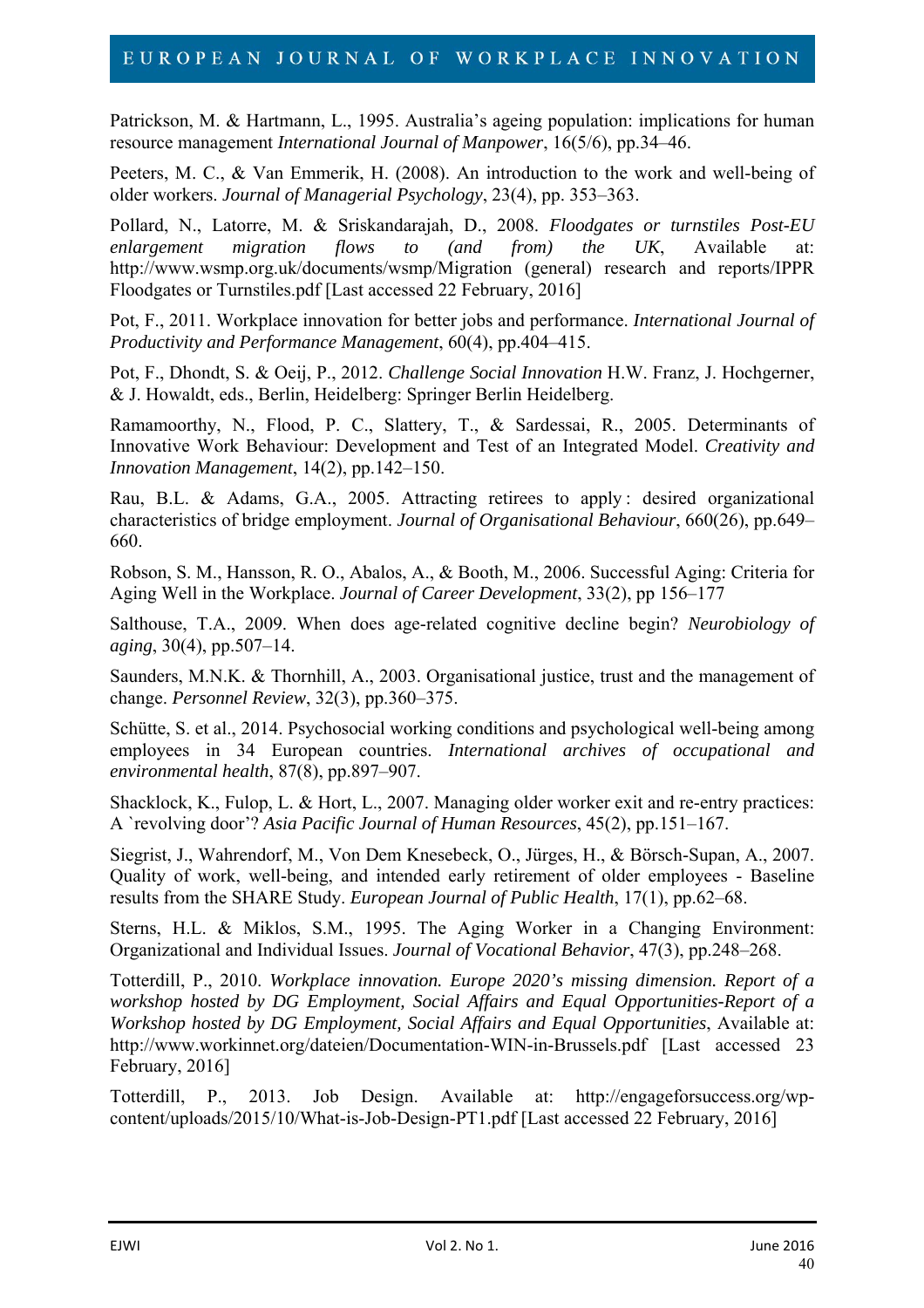Patrickson, M. & Hartmann, L., 1995. Australia's ageing population: implications for human resource management *International Journal of Manpower*, 16(5/6), pp.34–46.

Peeters, M. C., & Van Emmerik, H. (2008). An introduction to the work and well-being of older workers. *Journal of Managerial Psychology*, 23(4), pp. 353–363.

Pollard, N., Latorre, M. & Sriskandarajah, D., 2008. *Floodgates or turnstiles Post-EU enlargement migration flows to (and from) the UK*, Available at: http://www.wsmp.org.uk/documents/wsmp/Migration (general) research and reports/IPPR Floodgates or Turnstiles.pdf [Last accessed 22 February, 2016]

Pot, F., 2011. Workplace innovation for better jobs and performance. *International Journal of Productivity and Performance Management*, 60(4), pp.404–415.

Pot, F., Dhondt, S. & Oeij, P., 2012. *Challenge Social Innovation* H.W. Franz, J. Hochgerner, & J. Howaldt, eds., Berlin, Heidelberg: Springer Berlin Heidelberg.

Ramamoorthy, N., Flood, P. C., Slattery, T., & Sardessai, R., 2005. Determinants of Innovative Work Behaviour: Development and Test of an Integrated Model. *Creativity and Innovation Management*, 14(2), pp.142–150.

Rau, B.L. & Adams, G.A., 2005. Attracting retirees to apply : desired organizational characteristics of bridge employment. *Journal of Organisational Behaviour*, 660(26), pp.649– 660.

Robson, S. M., Hansson, R. O., Abalos, A., & Booth, M., 2006. Successful Aging: Criteria for Aging Well in the Workplace. *Journal of Career Development*, 33(2), pp 156–177

Salthouse, T.A., 2009. When does age-related cognitive decline begin? *Neurobiology of aging*, 30(4), pp.507–14.

Saunders, M.N.K. & Thornhill, A., 2003. Organisational justice, trust and the management of change. *Personnel Review*, 32(3), pp.360–375.

Schütte, S. et al., 2014. Psychosocial working conditions and psychological well-being among employees in 34 European countries. *International archives of occupational and environmental health*, 87(8), pp.897–907.

Shacklock, K., Fulop, L. & Hort, L., 2007. Managing older worker exit and re-entry practices: A `revolving door'? *Asia Pacific Journal of Human Resources*, 45(2), pp.151–167.

Siegrist, J., Wahrendorf, M., Von Dem Knesebeck, O., Jürges, H., & Börsch-Supan, A., 2007. Quality of work, well-being, and intended early retirement of older employees - Baseline results from the SHARE Study. *European Journal of Public Health*, 17(1), pp.62–68.

Sterns, H.L. & Miklos, S.M., 1995. The Aging Worker in a Changing Environment: Organizational and Individual Issues. *Journal of Vocational Behavior*, 47(3), pp.248–268.

Totterdill, P., 2010. *Workplace innovation. Europe 2020's missing dimension. Report of a workshop hosted by DG Employment, Social Affairs and Equal Opportunities-Report of a Workshop hosted by DG Employment, Social Affairs and Equal Opportunities*, Available at: http://www.workinnet.org/dateien/Documentation-WIN-in-Brussels.pdf [Last accessed 23 February, 2016]

Totterdill, P., 2013. Job Design. Available at: http://engageforsuccess.org/wpcontent/uploads/2015/10/What-is-Job-Design-PT1.pdf [Last accessed 22 February, 2016]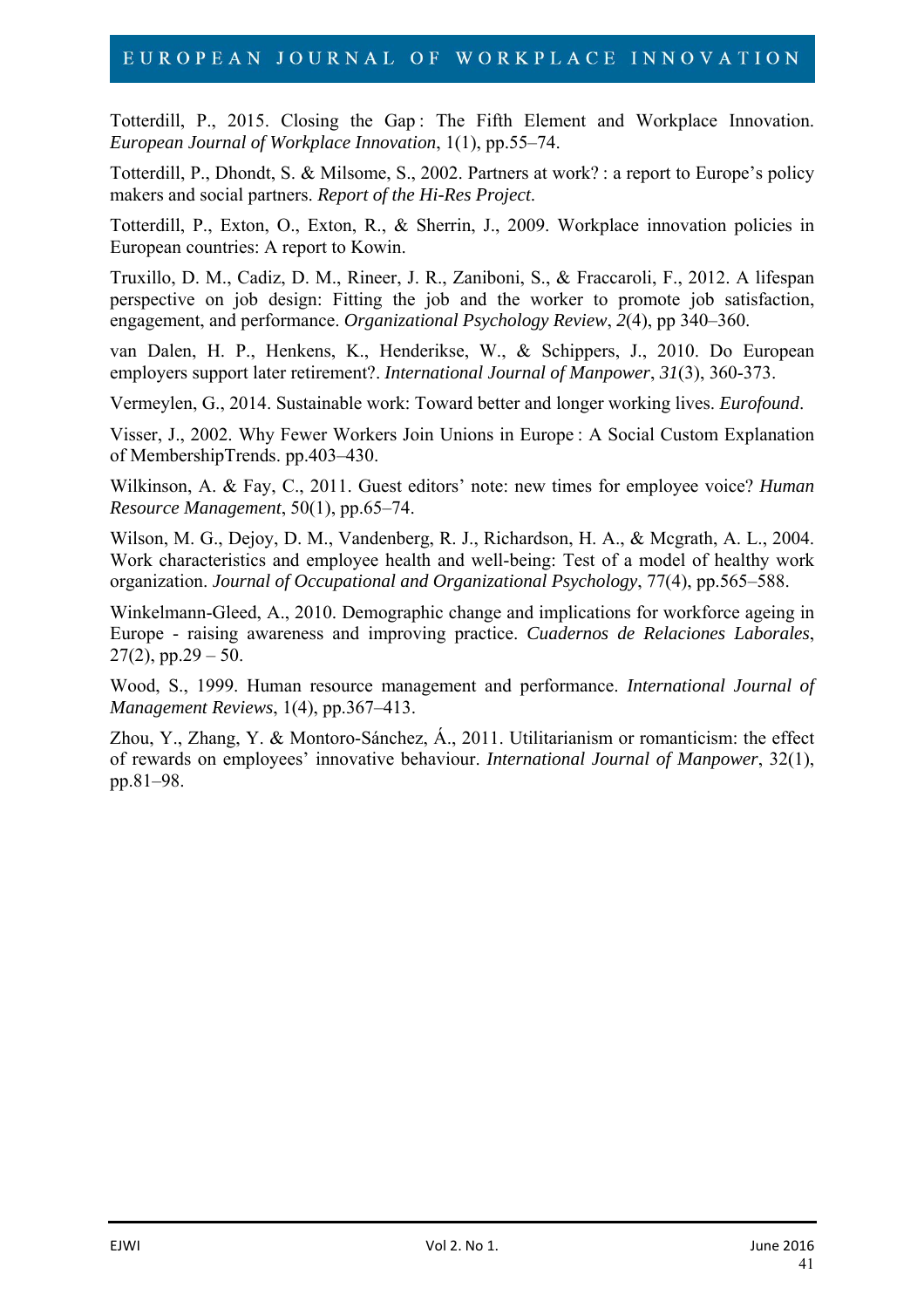Totterdill, P., 2015. Closing the Gap : The Fifth Element and Workplace Innovation. *European Journal of Workplace Innovation*, 1(1), pp.55–74.

Totterdill, P., Dhondt, S. & Milsome, S., 2002. Partners at work? : a report to Europe's policy makers and social partners. *Report of the Hi-Res Project*.

Totterdill, P., Exton, O., Exton, R., & Sherrin, J., 2009. Workplace innovation policies in European countries: A report to Kowin.

Truxillo, D. M., Cadiz, D. M., Rineer, J. R., Zaniboni, S., & Fraccaroli, F., 2012. A lifespan perspective on job design: Fitting the job and the worker to promote job satisfaction, engagement, and performance. *Organizational Psychology Review*, *2*(4), pp 340–360.

van Dalen, H. P., Henkens, K., Henderikse, W., & Schippers, J., 2010. Do European employers support later retirement?. *International Journal of Manpower*, *31*(3), 360-373.

Vermeylen, G., 2014. Sustainable work: Toward better and longer working lives. *Eurofound*.

Visser, J., 2002. Why Fewer Workers Join Unions in Europe : A Social Custom Explanation of MembershipTrends. pp.403–430.

Wilkinson, A. & Fay, C., 2011. Guest editors' note: new times for employee voice? *Human Resource Management*, 50(1), pp.65–74.

Wilson, M. G., Dejoy, D. M., Vandenberg, R. J., Richardson, H. A., & Mcgrath, A. L., 2004. Work characteristics and employee health and well-being: Test of a model of healthy work organization. *Journal of Occupational and Organizational Psychology*, 77(4), pp.565–588.

Winkelmann-Gleed, A., 2010. Demographic change and implications for workforce ageing in Europe - raising awareness and improving practice. *Cuadernos de Relaciones Laborales*,  $27(2)$ , pp.29 – 50.

Wood, S., 1999. Human resource management and performance. *International Journal of Management Reviews*, 1(4), pp.367–413.

Zhou, Y., Zhang, Y. & Montoro-Sánchez, Á., 2011. Utilitarianism or romanticism: the effect of rewards on employees' innovative behaviour. *International Journal of Manpower*, 32(1), pp.81–98.